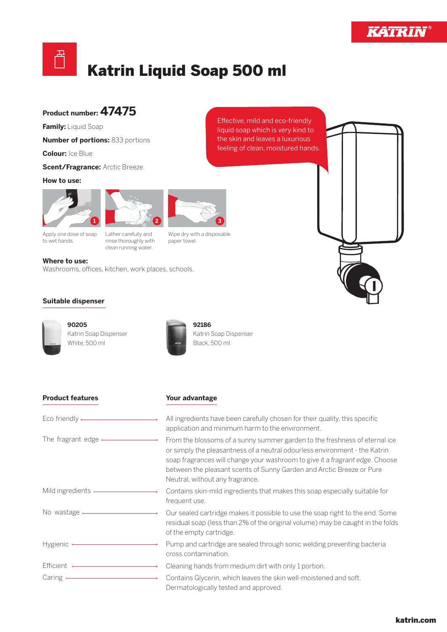



# Katrin Liquid Soap 500 ml

### **Product number: 47475**

**Family:** Liquid Soap

**Number of portions:** 833 portions

**Colour:** Ice Blue

**Scent/Fragrance: Arctic Breeze** 

#### **How to use:**







Lather carefully and rinse thoroughly with clean running water.

Wipe dry with a disposable paper towel.

#### **Where to use:**

Washrooms, offices, kitchen, work places, schools.



# **Suitable dispenser**



**90205** Katrin Soap Dispenser White, 500 ml



Katrin Soap Dispenser Black, 500 ml

#### **Product features**

#### **Your advantage**

| Eco friendly —————                          | All ingredients have been carefully chosen for their quality, this specific<br>application and minimum harm to the environment.                                                                                                                                                                                                                      |
|---------------------------------------------|------------------------------------------------------------------------------------------------------------------------------------------------------------------------------------------------------------------------------------------------------------------------------------------------------------------------------------------------------|
| The fragrant edge $\_\_\_\_\_\$             | From the blossoms of a sunny summer garden to the freshness of eternal ice<br>or simply the pleasantness of a neutral odourless environment - the Katrin<br>soap fragrances will change your washroom to give it a fragrant edge. Choose<br>between the pleasant scents of Sunny Garden and Arctic Breeze or Pure<br>Neutral, without any fragrance. |
| Mild ingredients ————                       | Contains skin-mild ingredients that makes this soap especially suitable for<br>frequent use.                                                                                                                                                                                                                                                         |
|                                             | Our sealed cartridge makes it possible to use the soap right to the end. Some<br>residual soap (less than 2% of the original volume) may be caught in the folds<br>of the empty cartridge.                                                                                                                                                           |
| Hygienic $-$                                | Pump and cartridge are sealed through sonic welding preventing bacteria<br>cross contamination.                                                                                                                                                                                                                                                      |
| Efficient <b>Constant Constant Constant</b> | Cleaning hands from medium dirt with only 1 portion.                                                                                                                                                                                                                                                                                                 |
| Caring $\overline{\phantom{0}}$             | Contains Glycerin, which leaves the skin well-moistened and soft.<br>Dermatologically tested and approved.                                                                                                                                                                                                                                           |

Effective, mild and eco-friendly liquid soap which is very kind to the skin and leaves a luxurious feeling of clean, moistured hands.